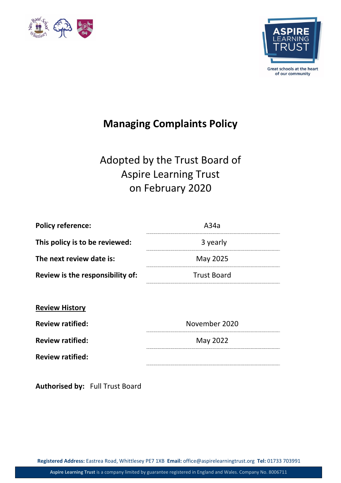



# **Managing Complaints Policy**

# Adopted by the Trust Board of Aspire Learning Trust on February 2020

| A34a               |
|--------------------|
| 3 yearly           |
| May 2025           |
| <b>Trust Board</b> |
|                    |

| <b>Review History</b> |
|-----------------------|
|-----------------------|

**Review ratified:** 

**Review ratified:** May 2022 May 2022

| November 2020 |
|---------------|
| May 2022      |

**Review ratified:**

**Authorised by:** Full Trust Board

**Registered Address:** Eastrea Road, Whittlesey PE7 1XB **Email:** office@aspirelearningtrust.org **Tel:** 01733 703991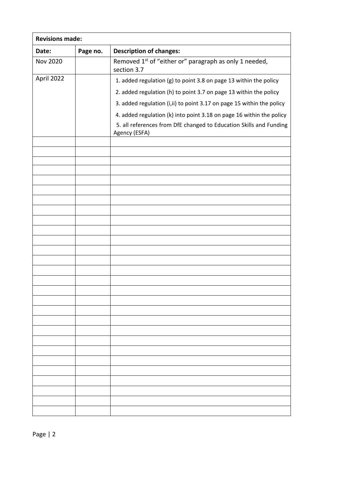| <b>Revisions made:</b> |          |                                                                                     |  |
|------------------------|----------|-------------------------------------------------------------------------------------|--|
| Date:                  | Page no. | <b>Description of changes:</b>                                                      |  |
| <b>Nov 2020</b>        |          | Removed 1 <sup>st</sup> of "either or" paragraph as only 1 needed,<br>section 3.7   |  |
| April 2022             |          | 1. added regulation (g) to point 3.8 on page 13 within the policy                   |  |
|                        |          | 2. added regulation (h) to point 3.7 on page 13 within the policy                   |  |
|                        |          | 3. added regulation (i, ii) to point 3.17 on page 15 within the policy              |  |
|                        |          | 4. added regulation (k) into point 3.18 on page 16 within the policy                |  |
|                        |          | 5. all references from DfE changed to Education Skills and Funding<br>Agency (ESFA) |  |
|                        |          |                                                                                     |  |
|                        |          |                                                                                     |  |
|                        |          |                                                                                     |  |
|                        |          |                                                                                     |  |
|                        |          |                                                                                     |  |
|                        |          |                                                                                     |  |
|                        |          |                                                                                     |  |
|                        |          |                                                                                     |  |
|                        |          |                                                                                     |  |
|                        |          |                                                                                     |  |
|                        |          |                                                                                     |  |
|                        |          |                                                                                     |  |
|                        |          |                                                                                     |  |
|                        |          |                                                                                     |  |
|                        |          |                                                                                     |  |
|                        |          |                                                                                     |  |
|                        |          |                                                                                     |  |
|                        |          |                                                                                     |  |
|                        |          |                                                                                     |  |
|                        |          |                                                                                     |  |
|                        |          |                                                                                     |  |
|                        |          |                                                                                     |  |
|                        |          |                                                                                     |  |
|                        |          |                                                                                     |  |
|                        |          |                                                                                     |  |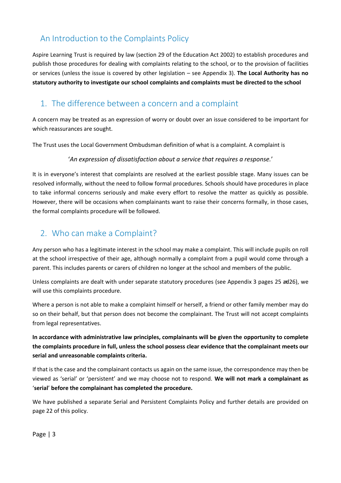## An Introduction to the Complaints Policy

Aspire Learning Trust is required by law (section 29 of the Education Act 2002) to establish procedures and publish those procedures for dealing with complaints relating to the school, or to the provision of facilities or services (unless the issue is covered by other legislation – see Appendix 3). **The Local Authority has no statutory authority to investigate our school complaints and complaints must be directed to the school**

### 1. The difference between a concern and a complaint

A concern may be treated as an expression of worry or doubt over an issue considered to be important for which reassurances are sought.

The Trust uses the Local Government Ombudsman definition of what is a complaint. A complaint is

'*An expression of dissatisfaction about a service that requires a response.*'

It is in everyone's interest that complaints are resolved at the earliest possible stage. Many issues can be resolved informally, without the need to follow formal procedures. Schools should have procedures in place to take informal concerns seriously and make every effort to resolve the matter as quickly as possible. However, there will be occasions when complainants want to raise their concerns formally, in those cases, the formal complaints procedure will be followed.

## 2. Who can make a Complaint?

Any person who has a legitimate interest in the school may make a complaint. This will include pupils on roll at the school irrespective of their age, although normally a complaint from a pupil would come through a parent. This includes parents or carers of children no longer at the school and members of the public.

Unless complaints are dealt with under separate statutory procedures (see Appendix 3 pages 25 ad26), we will use this complaints procedure.

Where a person is not able to make a complaint himself or herself, a friend or other family member may do so on their behalf, but that person does not become the complainant. The Trust will not accept complaints from legal representatives.

**In accordance with administrative law principles, complainants will be given the opportunity to complete the complaints procedure in full, unless the school possess clear evidence that the complainant meets our serial and unreasonable complaints criteria.**

If that is the case and the complainant contacts us again on the same issue, the correspondence may then be viewed as 'serial' or 'persistent' and we may choose not to respond. **We will not mark a complainant as** '**serial**' **before the complainant has completed the procedure.**

We have published a separate Serial and Persistent Complaints Policy and further details are provided on page 22 of this policy.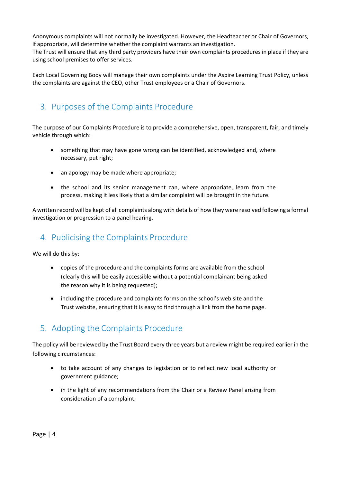Anonymous complaints will not normally be investigated. However, the Headteacher or Chair of Governors, if appropriate, will determine whether the complaint warrants an investigation.

The Trust will ensure that any third party providers have their own complaints procedures in place if they are using school premises to offer services.

Each Local Governing Body will manage their own complaints under the Aspire Learning Trust Policy, unless the complaints are against the CEO, other Trust employees or a Chair of Governors.

## 3. Purposes of the Complaints Procedure

The purpose of our Complaints Procedure is to provide a comprehensive, open, transparent, fair, and timely vehicle through which:

- something that may have gone wrong can be identified, acknowledged and, where necessary, put right;
- an apology may be made where appropriate;
- the school and its senior management can, where appropriate, learn from the process, making it less likely that a similar complaint will be brought in the future.

A written record will be kept of all complaints along with details of how they were resolved following a formal investigation or progression to a panel hearing.

## 4. Publicising the Complaints Procedure

We will do this by:

- copies of the procedure and the complaints forms are available from the school (clearly this will be easily accessible without a potential complainant being asked the reason why it is being requested);
- including the procedure and complaints forms on the school's web site and the Trust website, ensuring that it is easy to find through a link from the home page.

## 5. Adopting the Complaints Procedure

The policy will be reviewed by the Trust Board every three years but a review might be required earlier in the following circumstances:

- to take account of any changes to legislation or to reflect new local authority or government guidance;
- in the light of any recommendations from the Chair or a Review Panel arising from consideration of a complaint.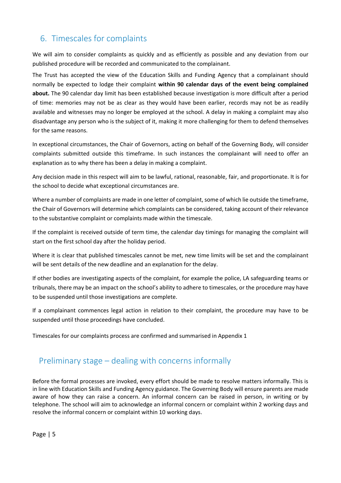## 6. Timescales for complaints

We will aim to consider complaints as quickly and as efficiently as possible and any deviation from our published procedure will be recorded and communicated to the complainant.

The Trust has accepted the view of the Education Skills and Funding Agency that a complainant should normally be expected to lodge their complaint **within 90 calendar days of the event being complained about.** The 90 calendar day limit has been established because investigation is more difficult after a period of time: memories may not be as clear as they would have been earlier, records may not be as readily available and witnesses may no longer be employed at the school. A delay in making a complaint may also disadvantage any person who is the subject of it, making it more challenging for them to defend themselves for the same reasons.

In exceptional circumstances, the Chair of Governors, acting on behalf of the Governing Body, will consider complaints submitted outside this timeframe. In such instances the complainant will need to offer an explanation as to why there has been a delay in making a complaint.

Any decision made in this respect will aim to be lawful, rational, reasonable, fair, and proportionate. It is for the school to decide what exceptional circumstances are.

Where a number of complaints are made in one letter of complaint, some of which lie outside the timeframe, the Chair of Governors will determine which complaints can be considered, taking account of their relevance to the substantive complaint or complaints made within the timescale.

If the complaint is received outside of term time, the calendar day timings for managing the complaint will start on the first school day after the holiday period.

Where it is clear that published timescales cannot be met, new time limits will be set and the complainant will be sent details of the new deadline and an explanation for the delay.

If other bodies are investigating aspects of the complaint, for example the police, LA safeguarding teams or tribunals, there may be an impact on the school's ability to adhere to timescales, or the procedure may have to be suspended until those investigations are complete.

If a complainant commences legal action in relation to their complaint, the procedure may have to be suspended until those proceedings have concluded.

Timescales for our complaints process are confirmed and summarised in Appendix 1

#### Preliminary stage – dealing with concerns informally

Before the formal processes are invoked, every effort should be made to resolve matters informally. This is in line with Education Skills and Funding Agency guidance. The Governing Body will ensure parents are made aware of how they can raise a concern. An informal concern can be raised in person, in writing or by telephone. The school will aim to acknowledge an informal concern or complaint within 2 working days and resolve the informal concern or complaint within 10 working days.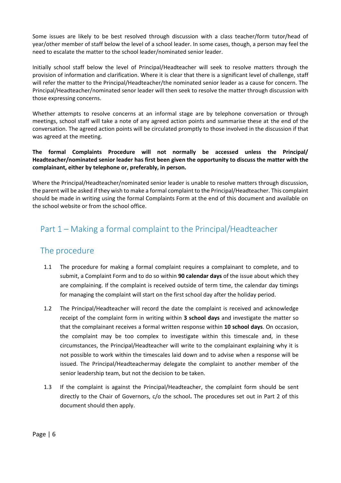Some issues are likely to be best resolved through discussion with a class teacher/form tutor/head of year/other member of staff below the level of a school leader. In some cases, though, a person may feel the need to escalate the matter to the school leader/nominated senior leader.

Initially school staff below the level of Principal/Headteacher will seek to resolve matters through the provision of information and clarification. Where it is clear that there is a significant level of challenge, staff will refer the matter to the Principal/Headteacher/the nominated senior leader as a cause for concern. The Principal/Headteacher/nominated senor leader will then seek to resolve the matter through discussion with those expressing concerns.

Whether attempts to resolve concerns at an informal stage are by telephone conversation or through meetings, school staff will take a note of any agreed action points and summarise these at the end of the conversation. The agreed action points will be circulated promptly to those involved in the discussion if that was agreed at the meeting.

#### **The formal Complaints Procedure will not normally be accessed unless the Principal/ Headteacher/nominated senior leader has first been given the opportunity to discuss the matter with the complainant, either by telephone or, preferably, in person.**

Where the Principal/Headteacher/nominated senior leader is unable to resolve matters through discussion, the parent will be asked if they wish to make a formal complaint to the Principal/Headteacher. This complaint should be made in writing using the formal Complaints Form at the end of this document and available on the school website or from the school office.

## Part 1 – Making a formal complaint to the Principal/Headteacher

#### The procedure

- 1.1 The procedure for making a formal complaint requires a complainant to complete, and to submit, a Complaint Form and to do so within **90 calendar days** of the issue about which they are complaining. If the complaint is received outside of term time, the calendar day timings for managing the complaint will start on the first school day after the holiday period.
- 1.2 The Principal/Headteacher will record the date the complaint is received and acknowledge receipt of the complaint form in writing within **3 school days** and investigate the matter so that the complainant receives a formal written response within **10 school days**. On occasion, the complaint may be too complex to investigate within this timescale and, in these circumstances, the Principal/Headteacher will write to the complainant explaining why it is not possible to work within the timescales laid down and to advise when a response will be issued. The Principal/Headteachermay delegate the complaint to another member of the senior leadership team, but not the decision to be taken.
- 1.3 If the complaint is against the Principal/Headteacher, the complaint form should be sent directly to the Chair of Governors, c/o the school**.** The procedures set out in Part 2 of this document should then apply.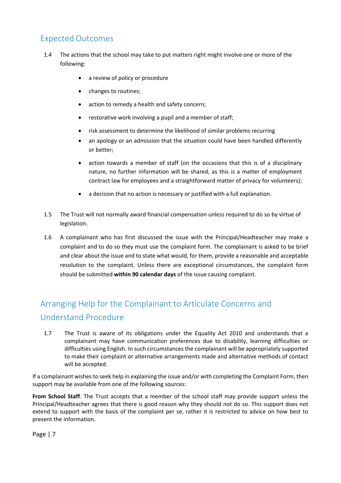## Expected Outcomes

- 1.4 The actions that the school may take to put matters right might involve one or more of the following:
	- a review of policy or procedure
	- changes to routines;
	- action to remedy a health and safety concern;
	- restorative work involving a pupil and a member of staff;
	- risk assessment to determine the likelihood of similar problems recurring
	- an apology or an admission that the situation could have been handled differently or better;
	- action towards a member of staff (on the occasions that this is of a disciplinary nature, no further information will be shared, as this is a matter of employment contract law for employees and a straightforward matter of privacy for volunteers);
	- a decision that no action is necessary or justified with a full explanation.
- 1.5 The Trust will not normally award financial compensation unless required to do so by virtue of legislation.
- 1.6 A complainant who has first discussed the issue with the Principal/Headteacher may make a complaint and to do so they must use the complaint form. The complainant is asked to be brief and clear about the issue and to state what would, for them, provide a reasonable and acceptable resolution to the complaint. Unless there are exceptional circumstances, the complaint form should be submitted **within 90 calendar days** of the issue causing complaint.

# Arranging Help for the Complainant to Articulate Concerns and Understand Procedure

1.7 The Trust is aware of its obligations under the Equality Act 2010 and understands that a complainant may have communication preferences due to disability, learning difficulties or difficulties using English. In such circumstances the complainant will be appropriately supported to make their complaint or alternative arrangements made and alternative methods of contact will be accepted.

If a complainant wishes to seek help in explaining the issue and/or with completing the Complaint Form, then support may be available from one of the following sources:

**From School Staff**. The Trust accepts that a member of the school staff may provide support unless the Principal/Headteacher agrees that there is good reason why they should not do so. This support does not extend to support with the basis of the complaint per se, rather it is restricted to advice on how best to present the information.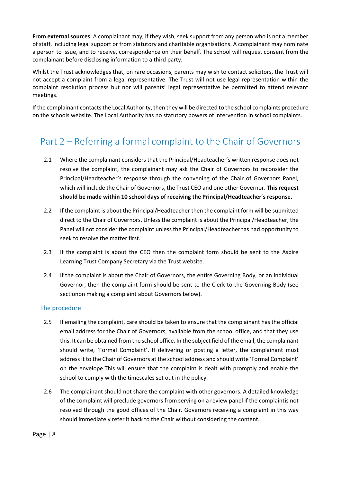**From external sources**. A complainant may, if they wish, seek support from any person who is not a member of staff, including legal support or from statutory and charitable organisations. A complainant may nominate a person to issue, and to receive, correspondence on their behalf. The school will request consent from the complainant before disclosing information to a third party.

Whilst the Trust acknowledges that, on rare occasions, parents may wish to contact solicitors, the Trust will not accept a complaint from a legal representative. The Trust will not use legal representation within the complaint resolution process but nor will parents' legal representative be permitted to attend relevant meetings.

If the complainant contacts the Local Authority, then they will be directed to the school complaints procedure on the schools website. The Local Authority has no statutory powers of intervention in school complaints.

# Part 2 – Referring a formal complaint to the Chair of Governors

- 2.1 Where the complainant considers that the Principal/Headteacher's written response does not resolve the complaint, the complainant may ask the Chair of Governors to reconsider the Principal/Headteacher's response through the convening of the Chair of Governors Panel, which will include the Chair of Governors, the Trust CEO and one other Governor. **This request should be made within 10 school days of receiving the Principal/Headteacher**'**s response.**
- 2.2 If the complaint is about the Principal/Headteacher then the complaint form will be submitted direct to the Chair of Governors. Unless the complaint is about the Principal/Headteacher, the Panel will not consider the complaint unless the Principal/Headteacherhas had opportunity to seek to resolve the matter first.
- 2.3 If the complaint is about the CEO then the complaint form should be sent to the Aspire Learning Trust Company Secretary via the Trust website.
- 2.4 If the complaint is about the Chair of Governors, the entire Governing Body, or an individual Governor, then the complaint form should be sent to the Clerk to the Governing Body (see sectionon making a complaint about Governors below).

#### The procedure

- 2.5 If emailing the complaint, care should be taken to ensure that the complainant has the official email address for the Chair of Governors, available from the school office, and that they use this. It can be obtained from the school office. In the subject field of the email, the complainant should write, 'Formal Complaint'. If delivering or posting a letter, the complainant must address it to the Chair of Governors at the school address and should write 'Formal Complaint' on the envelope.This will ensure that the complaint is dealt with promptly and enable the school to comply with the timescales set out in the policy.
- 2.6 The complainant should not share the complaint with other governors. A detailed knowledge of the complaint will preclude governors from serving on a review panel if the complaintis not resolved through the good offices of the Chair. Governors receiving a complaint in this way should immediately refer it back to the Chair without considering the content.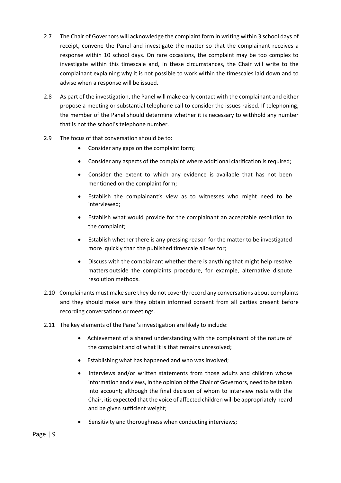- 2.7 The Chair of Governors will acknowledge the complaint form in writing within 3 school days of receipt, convene the Panel and investigate the matter so that the complainant receives a response within 10 school days. On rare occasions, the complaint may be too complex to investigate within this timescale and, in these circumstances, the Chair will write to the complainant explaining why it is not possible to work within the timescales laid down and to advise when a response will be issued.
- 2.8 As part of the investigation, the Panel will make early contact with the complainant and either propose a meeting or substantial telephone call to consider the issues raised. If telephoning, the member of the Panel should determine whether it is necessary to withhold any number that is not the school's telephone number.
- 2.9 The focus of that conversation should be to:
	- Consider any gaps on the complaint form;
	- Consider any aspects of the complaint where additional clarification is required;
	- Consider the extent to which any evidence is available that has not been mentioned on the complaint form;
	- Establish the complainant's view as to witnesses who might need to be interviewed;
	- Establish what would provide for the complainant an acceptable resolution to the complaint;
	- Establish whether there is any pressing reason for the matter to be investigated more quickly than the published timescale allows for;
	- Discuss with the complainant whether there is anything that might help resolve matters outside the complaints procedure, for example, alternative dispute resolution methods.
- 2.10 Complainants must make sure they do not covertly record any conversations about complaints and they should make sure they obtain informed consent from all parties present before recording conversations or meetings.
- 2.11 The key elements of the Panel's investigation are likely to include:
	- Achievement of a shared understanding with the complainant of the nature of the complaint and of what it is that remains unresolved;
	- Establishing what has happened and who was involved;
	- Interviews and/or written statements from those adults and children whose information and views, in the opinion of the Chair of Governors, need to be taken into account; although the final decision of whom to interview rests with the Chair, itis expected that the voice of affected children will be appropriately heard and be given sufficient weight;
	- Sensitivity and thoroughness when conducting interviews;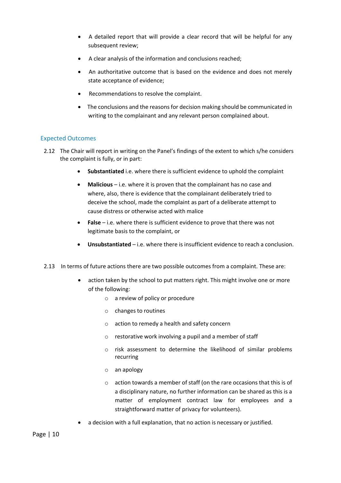- A detailed report that will provide a clear record that will be helpful for any subsequent review;
- A clear analysis of the information and conclusions reached;
- An authoritative outcome that is based on the evidence and does not merely state acceptance of evidence;
- Recommendations to resolve the complaint.
- The conclusions and the reasons for decision making should be communicated in writing to the complainant and any relevant person complained about.

#### Expected Outcomes

- 2.12 The Chair will report in writing on the Panel's findings of the extent to which s/he considers the complaint is fully, or in part:
	- **Substantiated** i.e. where there is sufficient evidence to uphold the complaint
	- **Malicious**  i.e. where it is proven that the complainant has no case and where, also, there is evidence that the complainant deliberately tried to deceive the school, made the complaint as part of a deliberate attempt to cause distress or otherwise acted with malice
	- **False**  i.e. where there is sufficient evidence to prove that there was not legitimate basis to the complaint, or
	- **Unsubstantiated** i.e. where there is insufficient evidence to reach a conclusion.
- 2.13 In terms of future actions there are two possible outcomes from a complaint. These are:
	- action taken by the school to put matters right. This might involve one or more of the following:
		- o a review of policy or procedure
		- o changes to routines
		- o action to remedy a health and safety concern
		- o restorative work involving a pupil and a member of staff
		- o risk assessment to determine the likelihood of similar problems recurring
		- o an apology
		- o action towards a member of staff (on the rare occasions that this is of a disciplinary nature, no further information can be shared as this is a matter of employment contract law for employees and a straightforward matter of privacy for volunteers).
	- a decision with a full explanation, that no action is necessary or justified.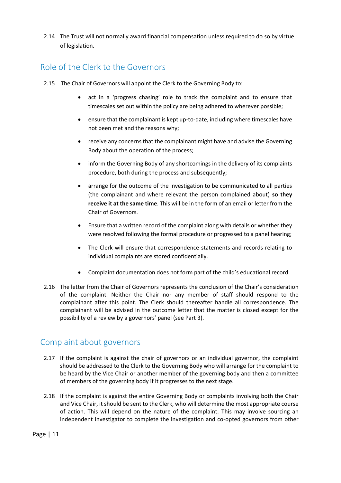2.14 The Trust will not normally award financial compensation unless required to do so by virtue of legislation.

#### Role of the Clerk to the Governors

- 2.15 The Chair of Governors will appoint the Clerk to the Governing Body to:
	- act in a 'progress chasing' role to track the complaint and to ensure that timescales set out within the policy are being adhered to wherever possible;
	- ensure that the complainant is kept up-to-date, including where timescales have not been met and the reasons why;
	- receive any concerns that the complainant might have and advise the Governing Body about the operation of the process;
	- inform the Governing Body of any shortcomings in the delivery of its complaints procedure, both during the process and subsequently;
	- arrange for the outcome of the investigation to be communicated to all parties (the complainant and where relevant the person complained about) **so they receive it at the same time**. This will be in the form of an email or letter from the Chair of Governors.
	- Ensure that a written record of the complaint along with details or whether they were resolved following the formal procedure or progressed to a panel hearing;
	- The Clerk will ensure that correspondence statements and records relating to individual complaints are stored confidentially.
	- Complaint documentation does not form part of the child's educational record.
- 2.16 The letter from the Chair of Governors represents the conclusion of the Chair's consideration of the complaint. Neither the Chair nor any member of staff should respond to the complainant after this point. The Clerk should thereafter handle all correspondence. The complainant will be advised in the outcome letter that the matter is closed except for the possibility of a review by a governors' panel (see Part 3).

#### Complaint about governors

- 2.17 If the complaint is against the chair of governors or an individual governor, the complaint should be addressed to the Clerk to the Governing Body who will arrange for the complaint to be heard by the Vice Chair or another member of the governing body and then a committee of members of the governing body if it progresses to the next stage.
- 2.18 If the complaint is against the entire Governing Body or complaints involving both the Chair and Vice Chair, it should be sent to the Clerk, who will determine the most appropriate course of action. This will depend on the nature of the complaint. This may involve sourcing an independent investigator to complete the investigation and co-opted governors from other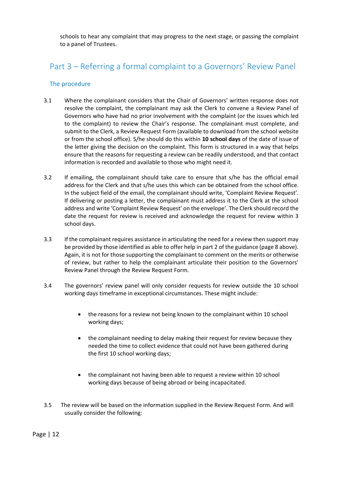schools to hear any complaint that may progress to the next stage, or passing the complaint to a panel of Trustees.

## Part 3 – Referring a formal complaint to a Governors' Review Panel

#### The procedure

- 3.1 Where the complainant considers that the Chair of Governors' written response does not resolve the complaint, the complainant may ask the Clerk to convene a Review Panel of Governors who have had no prior involvement with the complaint (or the issues which led to the complaint) to review the Chair's response. The complainant must complete, and submit to the Clerk, a Review Request Form (available to download from the school website or from the school office). S/he should do this within **10 school days** of the date of issue of the letter giving the decision on the complaint. This form is structured in a way that helps ensure that the reasons for requesting a review can be readily understood, and that contact information is recorded and available to those who might need it.
- 3.2 If emailing, the complainant should take care to ensure that s/he has the official email address for the Clerk and that s/he uses this which can be obtained from the school office. In the subject field of the email, the complainant should write, 'Complaint Review Request'. If delivering or posting a letter, the complainant must address it to the Clerk at the school address and write 'Complaint Review Request' on the envelope'. The Clerk should record the date the request for review is received and acknowledge the request for review within 3 school days.
- 3.3 If the complainant requires assistance in articulating the need for a review then support may be provided by those identified as able to offer help in part 2 of the guidance (page 8 above). Again, it is not for those supporting the complainant to comment on the merits or otherwise of review, but rather to help the complainant articulate their position to the Governors' Review Panel through the Review Request Form.
- 3.4 The governors' review panel will only consider requests for review outside the 10 school working days timeframe in exceptional circumstances. These might include:
	- the reasons for a review not being known to the complainant within 10 school working days;
	- the complainant needing to delay making their request for review because they needed the time to collect evidence that could not have been gathered during the first 10 school working days;
	- the complainant not having been able to request a review within 10 school working days because of being abroad or being incapacitated.
- 3.5 The review will be based on the information supplied in the Review Request Form. And will usually consider the following: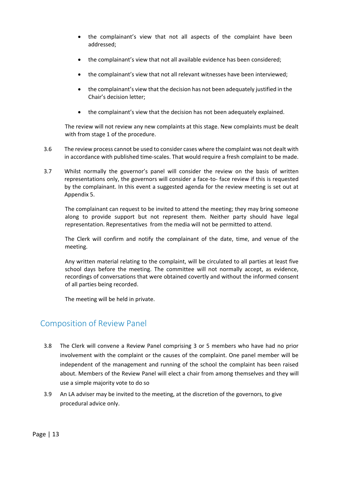- the complainant's view that not all aspects of the complaint have been addressed;
- the complainant's view that not all available evidence has been considered;
- the complainant's view that not all relevant witnesses have been interviewed;
- the complainant's view that the decision has not been adequately justified in the Chair's decision letter;
- the complainant's view that the decision has not been adequately explained.

The review will not review any new complaints at this stage. New complaints must be dealt with from stage 1 of the procedure.

- 3.6 The review process cannot be used to consider cases where the complaint was not dealt with in accordance with published time-scales. That would require a fresh complaint to be made.
- 3.7 Whilst normally the governor's panel will consider the review on the basis of written representations only, the governors will consider a face-to- face review if this is requested by the complainant. In this event a suggested agenda for the review meeting is set out at Appendix 5.

The complainant can request to be invited to attend the meeting; they may bring someone along to provide support but not represent them. Neither party should have legal representation. Representatives from the media will not be permitted to attend.

The Clerk will confirm and notify the complainant of the date, time, and venue of the meeting.

Any written material relating to the complaint, will be circulated to all parties at least five school days before the meeting. The committee will not normally accept, as evidence, recordings of conversations that were obtained covertly and without the informed consent of all parties being recorded.

The meeting will be held in private.

#### Composition of Review Panel

- 3.8 The Clerk will convene a Review Panel comprising 3 or 5 members who have had no prior involvement with the complaint or the causes of the complaint. One panel member will be independent of the management and running of the school the complaint has been raised about. Members of the Review Panel will elect a chair from among themselves and they will use a simple majority vote to do so
- 3.9 An LA adviser may be invited to the meeting, at the discretion of the governors, to give procedural advice only.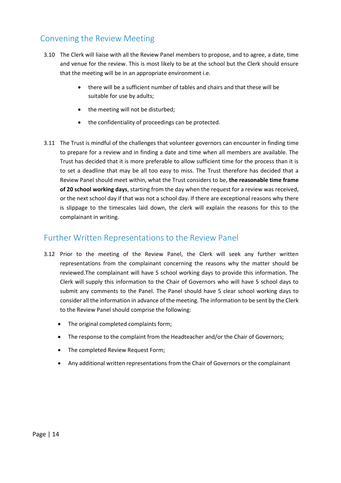### Convening the Review Meeting

- 3.10 The Clerk will liaise with all the Review Panel members to propose, and to agree, a date, time and venue for the review. This is most likely to be at the school but the Clerk should ensure that the meeting will be in an appropriate environment i.e.
	- there will be a sufficient number of tables and chairs and that these will be suitable for use by adults;
	- the meeting will not be disturbed;
	- the confidentiality of proceedings can be protected.
- 3.11 The Trust is mindful of the challenges that volunteer governors can encounter in finding time to prepare for a review and in finding a date and time when all members are available. The Trust has decided that it is more preferable to allow sufficient time for the process than it is to set a deadline that may be all too easy to miss. The Trust therefore has decided that a Review Panel should meet within, what the Trust considers to be, **the reasonable time frame of 20 school working days**, starting from the day when the request for a review was received, or the next school day if that was not a school day. If there are exceptional reasons why there is slippage to the timescales laid down, the clerk will explain the reasons for this to the complainant in writing.

#### Further Written Representations to the Review Panel

- 3.12 Prior to the meeting of the Review Panel, the Clerk will seek any further written representations from the complainant concerning the reasons why the matter should be reviewed.The complainant will have 5 school working days to provide this information. The Clerk will supply this information to the Chair of Governors who will have 5 school days to submit any comments to the Panel. The Panel should have 5 clear school working days to consider all the information in advance of the meeting. The information to be sent by the Clerk to the Review Panel should comprise the following:
	- The original completed complaints form;
	- The response to the complaint from the Headteacher and/or the Chair of Governors;
	- The completed Review Request Form;
	- Any additional written representations from the Chair of Governors or the complainant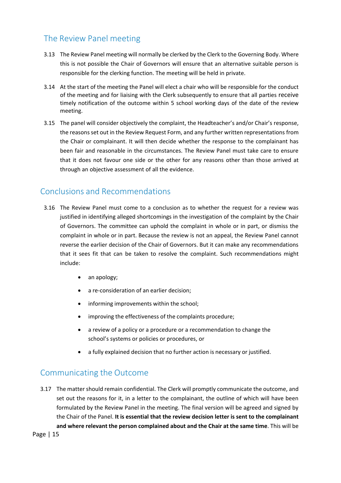## The Review Panel meeting

- 3.13 The Review Panel meeting will normally be clerked by the Clerk to the Governing Body. Where this is not possible the Chair of Governors will ensure that an alternative suitable person is responsible for the clerking function. The meeting will be held in private.
- 3.14 At the start of the meeting the Panel will elect a chair who will be responsible for the conduct of the meeting and for liaising with the Clerk subsequently to ensure that all parties receive timely notification of the outcome within 5 school working days of the date of the review meeting.
- 3.15 The panel will consider objectively the complaint, the Headteacher's and/or Chair's response, the reasons set out in the Review Request Form, and any further written representations from the Chair or complainant. It will then decide whether the response to the complainant has been fair and reasonable in the circumstances. The Review Panel must take care to ensure that it does not favour one side or the other for any reasons other than those arrived at through an objective assessment of all the evidence.

## Conclusions and Recommendations

- 3.16 The Review Panel must come to a conclusion as to whether the request for a review was justified in identifying alleged shortcomings in the investigation of the complaint by the Chair of Governors. The committee can uphold the complaint in whole or in part, or dismiss the complaint in whole or in part. Because the review is not an appeal, the Review Panel cannot reverse the earlier decision of the Chair of Governors. But it can make any recommendations that it sees fit that can be taken to resolve the complaint. Such recommendations might include:
	- an apology;
	- a re-consideration of an earlier decision;
	- informing improvements within the school;
	- improving the effectiveness of the complaints procedure;
	- a review of a policy or a procedure or a recommendation to change the school's systems or policies or procedures, or
	- a fully explained decision that no further action is necessary or justified.

### Communicating the Outcome

3.17 The matter should remain confidential. The Clerk will promptly communicate the outcome, and set out the reasons for it, in a letter to the complainant, the outline of which will have been formulated by the Review Panel in the meeting. The final version will be agreed and signed by the Chair of the Panel. **It is essential that the review decision letter is sent to the complainant and where relevant the person complained about and the Chair at the same time**. This will be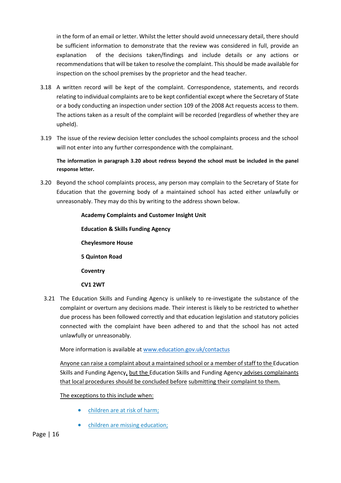in the form of an email or letter. Whilst the letter should avoid unnecessary detail, there should be sufficient information to demonstrate that the review was considered in full, provide an explanation of the decisions taken/findings and include details or any actions or recommendations that will be taken to resolve the complaint. This should be made available for inspection on the school premises by the proprietor and the head teacher.

- 3.18 A written record will be kept of the complaint. Correspondence, statements, and records relating to individual complaints are to be kept confidential except where the Secretary of State or a body conducting an inspection under section 109 of the 2008 Act requests access to them. The actions taken as a result of the complaint will be recorded (regardless of whether they are upheld).
- 3.19 The issue of the review decision letter concludes the school complaints process and the school will not enter into any further correspondence with the complainant.

**The information in paragraph 3.20 about redress beyond the school must be included in the panel response letter.**

3.20 Beyond the school complaints process, any person may complain to the Secretary of State for Education that the governing body of a maintained school has acted either unlawfully or unreasonably. They may do this by writing to the address shown below.

# **Academy Complaints and Customer Insight Unit Education & Skills Funding Agency Cheylesmore House 5 Quinton Road Coventry CV1 2WT**

3.21 The Education Skills and Funding Agency is unlikely to re-investigate the substance of the complaint or overturn any decisions made. Their interest is likely to be restricted to whether due process has been followed correctly and that education legislation and statutory policies connected with the complaint have been adhered to and that the school has not acted unlawfully or unreasonably.

More information is available at [www.education.gov.uk/contactus](http://www.education.gov.uk/contactus)

Anyone can raise a complaint about a maintained school or a member of staff to the Education Skills and Funding Agency, but the Education Skills and Funding Agency advises complainants that local procedures should be concluded before submitting their complaint to them.

The exceptions to this include when:

- children are at risk of harm;
- children are missing education: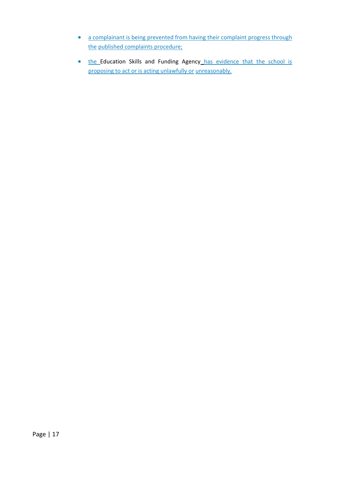- a complainant is being prevented from having their complaint progress through the published complaints procedure;
- the Education Skills and Funding Agency has evidence that the school is proposing to act or is acting unlawfully or unreasonably.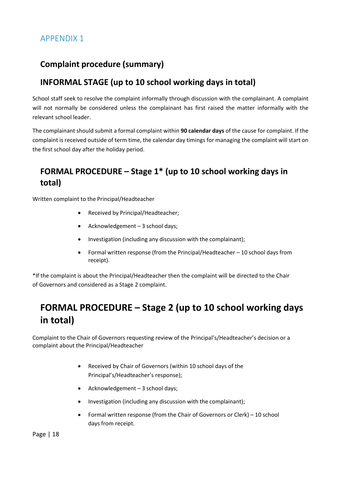# **Complaint procedure (summary)**

## **INFORMAL STAGE (up to 10 school working days in total)**

School staff seek to resolve the complaint informally through discussion with the complainant. A complaint will not normally be considered unless the complainant has first raised the matter informally with the relevant school leader.

The complainant should submit a formal complaint within **90 calendar days** of the cause for complaint. If the complaint is received outside of term time, the calendar day timings for managing the complaint will start on the first school day after the holiday period.

# **FORMAL PROCEDURE – Stage 1\* (up to 10 school working days in total)**

Written complaint to the Principal/Headteacher

- Received by Principal/Headteacher;
- Acknowledgement 3 school days;
- Investigation (including any discussion with the complainant);
- Formal written response (from the Principal/Headteacher 10 school days from receipt).

\*If the complaint is about the Principal/Headteacher then the complaint will be directed to the Chair of Governors and considered as a Stage 2 complaint.

# **FORMAL PROCEDURE – Stage 2 (up to 10 school working days in total)**

Complaint to the Chair of Governors requesting review of the Principal's/Headteacher's decision or a complaint about the Principal/Headteacher

- Received by Chair of Governors (within 10 school days of the Principal's/Headteacher's response);
- Acknowledgement 3 school days;
- Investigation (including any discussion with the complainant);
- Formal written response (from the Chair of Governors or Clerk) 10 school days from receipt.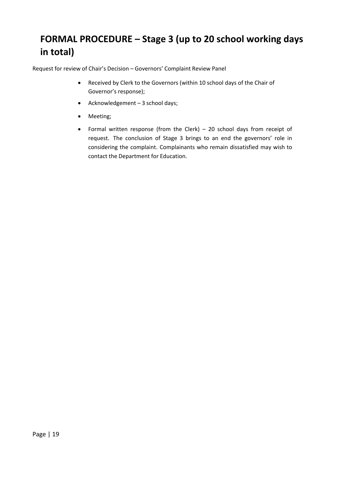# **FORMAL PROCEDURE – Stage 3 (up to 20 school working days in total)**

Request for review of Chair's Decision – Governors' Complaint Review Panel

- Received by Clerk to the Governors (within 10 school days of the Chair of Governor's response);
- Acknowledgement 3 school days;
- Meeting;
- Formal written response (from the Clerk) 20 school days from receipt of request. The conclusion of Stage 3 brings to an end the governors' role in considering the complaint. Complainants who remain dissatisfied may wish to contact the Department for Education.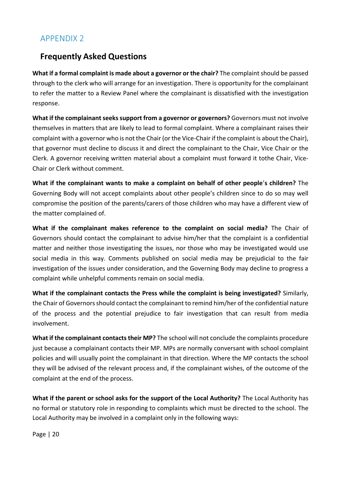### **Frequently Asked Questions**

**What if a formal complaint is made about a governor or the chair?** The complaint should be passed through to the clerk who will arrange for an investigation. There is opportunity for the complainant to refer the matter to a Review Panel where the complainant is dissatisfied with the investigation response.

What if the complainant seeks support from a governor or governors? Governors must not involve themselves in matters that are likely to lead to formal complaint. Where a complainant raises their complaint with a governor who is not the Chair (or the Vice-Chair if the complaint is about the Chair), that governor must decline to discuss it and direct the complainant to the Chair, Vice Chair or the Clerk. A governor receiving written material about a complaint must forward it tothe Chair, Vice-Chair or Clerk without comment.

**What if the complainant wants to make a complaint on behalf of other people**'**s children?** The Governing Body will not accept complaints about other people's children since to do so may well compromise the position of the parents/carers of those children who may have a different view of the matter complained of.

**What if the complainant makes reference to the complaint on social media?** The Chair of Governors should contact the complainant to advise him/her that the complaint is a confidential matter and neither those investigating the issues, nor those who may be investigated would use social media in this way. Comments published on social media may be prejudicial to the fair investigation of the issues under consideration, and the Governing Body may decline to progress a complaint while unhelpful comments remain on social media.

**What if the complainant contacts the Press while the complaint is being investigated?** Similarly, the Chair of Governors should contact the complainant to remind him/her of the confidential nature of the process and the potential prejudice to fair investigation that can result from media involvement.

**What if the complainant contacts their MP?** The school will not conclude the complaints procedure just because a complainant contacts their MP. MPs are normally conversant with school complaint policies and will usually point the complainant in that direction. Where the MP contacts the school they will be advised of the relevant process and, if the complainant wishes, of the outcome of the complaint at the end of the process.

**What if the parent or school asks for the support of the Local Authority?** The Local Authority has no formal or statutory role in responding to complaints which must be directed to the school. The Local Authority may be involved in a complaint only in the following ways: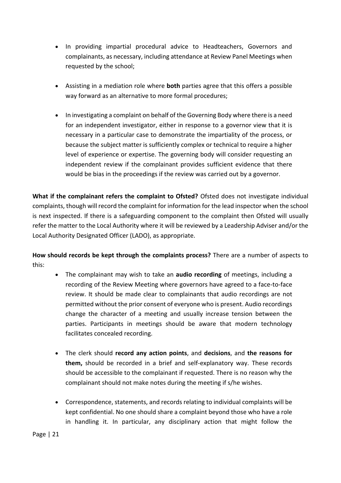- In providing impartial procedural advice to Headteachers, Governors and complainants, as necessary, including attendance at Review Panel Meetings when requested by the school;
- Assisting in a mediation role where **both** parties agree that this offers a possible way forward as an alternative to more formal procedures;
- In investigating a complaint on behalf of the Governing Body where there is a need for an independent investigator, either in response to a governor view that it is necessary in a particular case to demonstrate the impartiality of the process, or because the subject matter is sufficiently complex or technical to require a higher level of experience or expertise. The governing body will consider requesting an independent review if the complainant provides sufficient evidence that there would be bias in the proceedings if the review was carried out by a governor.

**What if the complainant refers the complaint to Ofsted?** Ofsted does not investigate individual complaints, though will record the complaint for information for the lead inspector when the school is next inspected. If there is a safeguarding component to the complaint then Ofsted will usually refer the matter to the Local Authority where it will be reviewed by a Leadership Adviser and/or the Local Authority Designated Officer (LADO), as appropriate.

**How should records be kept through the complaints process?** There are a number of aspects to this:

- The complainant may wish to take an **audio recording** of meetings, including a recording of the Review Meeting where governors have agreed to a face-to-face review. It should be made clear to complainants that audio recordings are not permitted without the prior consent of everyone who is present. Audio recordings change the character of a meeting and usually increase tension between the parties. Participants in meetings should be aware that modern technology facilitates concealed recording.
- The clerk should **record any action points**, and **decisions**, and **the reasons for them,** should be recorded in a brief and self-explanatory way. These records should be accessible to the complainant if requested. There is no reason why the complainant should not make notes during the meeting if s/he wishes.
- Correspondence, statements, and records relating to individual complaints will be kept confidential. No one should share a complaint beyond those who have a role in handling it. In particular, any disciplinary action that might follow the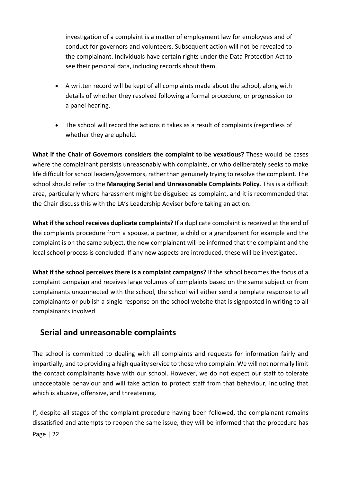investigation of a complaint is a matter of employment law for employees and of conduct for governors and volunteers. Subsequent action will not be revealed to the complainant. Individuals have certain rights under the Data Protection Act to see their personal data, including records about them.

- A written record will be kept of all complaints made about the school, along with details of whether they resolved following a formal procedure, or progression to a panel hearing.
- The school will record the actions it takes as a result of complaints (regardless of whether they are upheld.

**What if the Chair of Governors considers the complaint to be vexatious?** These would be cases where the complainant persists unreasonably with complaints, or who deliberately seeks to make life difficult for school leaders/governors, rather than genuinely trying to resolve the complaint. The school should refer to the **Managing Serial and Unreasonable Complaints Policy**. This is a difficult area, particularly where harassment might be disguised as complaint, and it is recommended that the Chair discuss this with the LA's Leadership Adviser before taking an action.

**What if the school receives duplicate complaints?** If a duplicate complaint is received at the end of the complaints procedure from a spouse, a partner, a child or a grandparent for example and the complaint is on the same subject, the new complainant will be informed that the complaint and the local school process is concluded. If any new aspects are introduced, these will be investigated.

**What if the school perceives there is a complaint campaigns?** If the school becomes the focus of a complaint campaign and receives large volumes of complaints based on the same subject or from complainants unconnected with the school, the school will either send a template response to all complainants or publish a single response on the school website that is signposted in writing to all complainants involved.

### **Serial and unreasonable complaints**

The school is committed to dealing with all complaints and requests for information fairly and impartially, and to providing a high quality service to those who complain. We will not normally limit the contact complainants have with our school. However, we do not expect our staff to tolerate unacceptable behaviour and will take action to protect staff from that behaviour, including that which is abusive, offensive, and threatening.

Page | 22 If, despite all stages of the complaint procedure having been followed, the complainant remains dissatisfied and attempts to reopen the same issue, they will be informed that the procedure has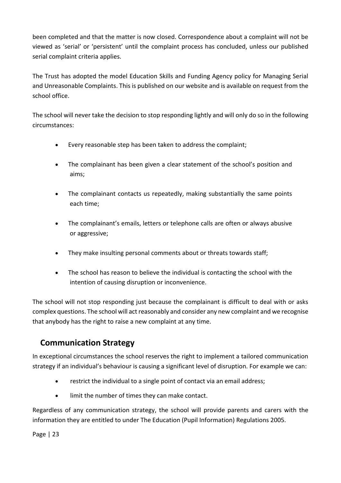been completed and that the matter is now closed. Correspondence about a complaint will not be viewed as 'serial' or 'persistent' until the complaint process has concluded, unless our published serial complaint criteria applies.

The Trust has adopted the model Education Skills and Funding Agency policy for Managing Serial and Unreasonable Complaints. This is published on our website and is available on request from the school office.

The school will never take the decision to stop responding lightly and will only do so in the following circumstances:

- Every reasonable step has been taken to address the complaint;
- The complainant has been given a clear statement of the school's position and aims;
- The complainant contacts us repeatedly, making substantially the same points each time;
- The complainant's emails, letters or telephone calls are often or always abusive or aggressive;
- They make insulting personal comments about or threats towards staff;
- The school has reason to believe the individual is contacting the school with the intention of causing disruption or inconvenience.

The school will not stop responding just because the complainant is difficult to deal with or asks complex questions. The school will act reasonably and consider any new complaint and we recognise that anybody has the right to raise a new complaint at any time.

# **Communication Strategy**

In exceptional circumstances the school reserves the right to implement a tailored communication strategy if an individual's behaviour is causing a significant level of disruption. For example we can:

- restrict the individual to a single point of contact via an email address;
- limit the number of times they can make contact.

Regardless of any communication strategy, the school will provide parents and carers with the information they are entitled to under The Education (Pupil Information) Regulations 2005.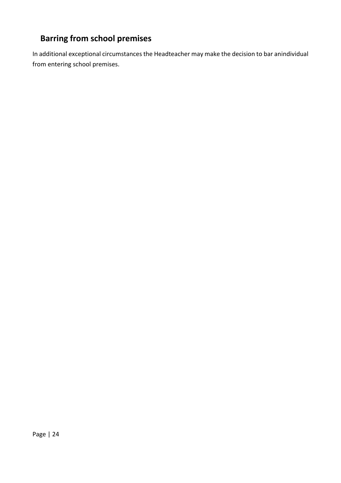# **Barring from school premises**

In additional exceptional circumstances the Headteacher may make the decision to bar anindividual from entering school premises.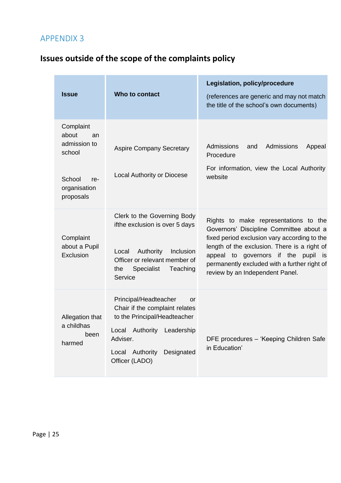# **Issues outside of the scope of the complaints policy**

| <b>Issue</b>                                                                                     | Who to contact                                                                                                                                                                                | Legislation, policy/procedure<br>(references are generic and may not match<br>the title of the school's own documents)                                                                                                                                                                                           |
|--------------------------------------------------------------------------------------------------|-----------------------------------------------------------------------------------------------------------------------------------------------------------------------------------------------|------------------------------------------------------------------------------------------------------------------------------------------------------------------------------------------------------------------------------------------------------------------------------------------------------------------|
| Complaint<br>about<br>an<br>admission to<br>school<br>School<br>re-<br>organisation<br>proposals | <b>Aspire Company Secretary</b><br>Local Authority or Diocese                                                                                                                                 | Admissions<br>Admissions<br>and<br>Appeal<br>Procedure<br>For information, view the Local Authority<br>website                                                                                                                                                                                                   |
| Complaint<br>about a Pupil<br>Exclusion                                                          | Clerk to the Governing Body<br>ifthe exclusion is over 5 days<br>Authority<br>Inclusion<br>Local<br>Officer or relevant member of<br><b>Specialist</b><br>Teaching<br>the<br>Service          | Rights to make representations to the<br>Governors' Discipline Committee about a<br>fixed period exclusion vary according to the<br>length of the exclusion. There is a right of<br>appeal to governors if the<br>pupil<br>is<br>permanently excluded with a further right of<br>review by an Independent Panel. |
| Allegation that<br>a childhas<br>been<br>harmed                                                  | Principal/Headteacher<br>or<br>Chair if the complaint relates<br>to the Principal/Headteacher<br>Local Authority<br>Leadership<br>Adviser.<br>Local Authority<br>Designated<br>Officer (LADO) | DFE procedures - 'Keeping Children Safe<br>in Education'                                                                                                                                                                                                                                                         |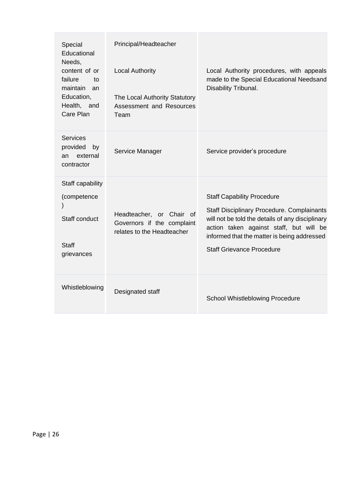| Special<br>Educational<br>Needs,<br>content of or<br>failure<br>to<br>maintain<br>an<br>Education,<br>Health, and<br>Care Plan | Principal/Headteacher<br><b>Local Authority</b><br>The Local Authority Statutory<br>Assessment and Resources<br>Team | Local Authority procedures, with appeals<br>made to the Special Educational Needsand<br>Disability Tribunal.                                                                                                                                                             |
|--------------------------------------------------------------------------------------------------------------------------------|----------------------------------------------------------------------------------------------------------------------|--------------------------------------------------------------------------------------------------------------------------------------------------------------------------------------------------------------------------------------------------------------------------|
| <b>Services</b><br>provided<br>by<br>external<br>an<br>contractor                                                              | Service Manager                                                                                                      | Service provider's procedure                                                                                                                                                                                                                                             |
| Staff capability<br>(competence<br>Staff conduct<br><b>Staff</b><br>grievances                                                 | Headteacher, or Chair of<br>Governors if the complaint<br>relates to the Headteacher                                 | <b>Staff Capability Procedure</b><br><b>Staff Disciplinary Procedure. Complainants</b><br>will not be told the details of any disciplinary<br>action taken against staff, but will be<br>informed that the matter is being addressed<br><b>Staff Grievance Procedure</b> |
| Whistleblowing                                                                                                                 | Designated staff                                                                                                     | School Whistleblowing Procedure                                                                                                                                                                                                                                          |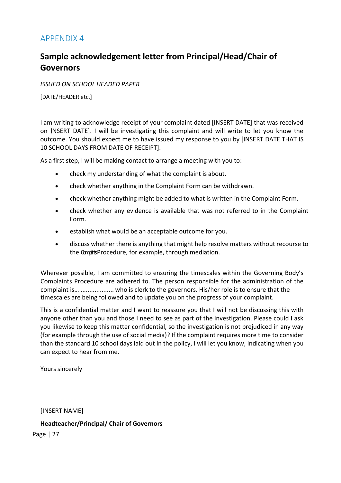## **Sample acknowledgement letter from Principal/Head/Chair of Governors**

*ISSUED ON SCHOOL HEADED PAPER*

[DATE/HEADER etc.]

I am writing to acknowledge receipt of your complaint dated [INSERT DATE] that was received on [INSERT DATE]. I will be investigating this complaint and will write to let you know the outcome. You should expect me to have issued my response to you by [INSERT DATE THAT IS 10 SCHOOL DAYS FROM DATE OF RECEIPT].

As a first step, I will be making contact to arrange a meeting with you to:

- check my understanding of what the complaint is about.
- check whether anything in the Complaint Form can be withdrawn.
- check whether anything might be added to what is written in the Complaint Form.
- check whether any evidence is available that was not referred to in the Complaint Form.
- establish what would be an acceptable outcome for you.
- discuss whether there is anything that might help resolve matters without recourse to the Compit Procedure, for example, through mediation.

Wherever possible, I am committed to ensuring the timescales within the Governing Body's Complaints Procedure are adhered to. The person responsible for the administration of the complaint is… ................... who is clerk to the governors. His/her role is to ensure that the timescales are being followed and to update you on the progress of your complaint.

This is a confidential matter and I want to reassure you that I will not be discussing this with anyone other than you and those I need to see as part of the investigation. Please could I ask you likewise to keep this matter confidential, so the investigation is not prejudiced in any way (for example through the use of social media)? If the complaint requires more time to consider than the standard 10 school days laid out in the policy, I will let you know, indicating when you can expect to hear from me.

Yours sincerely

[INSERT NAME]

**Headteacher/Principal/ Chair of Governors**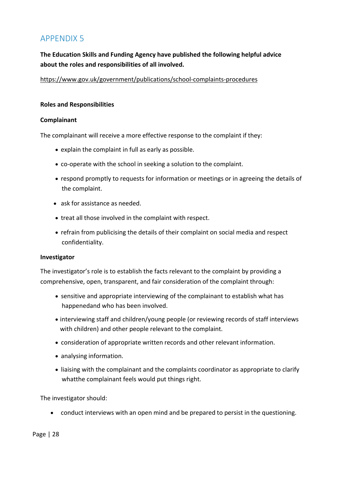**The Education Skills and Funding Agency have published the following helpful advice about the roles and responsibilities of all involved.**

<https://www.gov.uk/government/publications/school-complaints-procedures>

#### **Roles and Responsibilities**

#### **Complainant**

The complainant will receive a more effective response to the complaint if they:

- explain the complaint in full as early as possible.
- co-operate with the school in seeking a solution to the complaint.
- respond promptly to requests for information or meetings or in agreeing the details of the complaint.
- ask for assistance as needed.
- treat all those involved in the complaint with respect.
- refrain from publicising the details of their complaint on social media and respect confidentiality.

#### **Investigator**

The investigator's role is to establish the facts relevant to the complaint by providing a comprehensive, open, transparent, and fair consideration of the complaint through:

- sensitive and appropriate interviewing of the complainant to establish what has happenedand who has been involved.
- interviewing staff and children/young people (or reviewing records of staff interviews with children) and other people relevant to the complaint.
- consideration of appropriate written records and other relevant information.
- analysing information.
- liaising with the complainant and the complaints coordinator as appropriate to clarify whatthe complainant feels would put things right.

The investigator should:

• conduct interviews with an open mind and be prepared to persist in the questioning.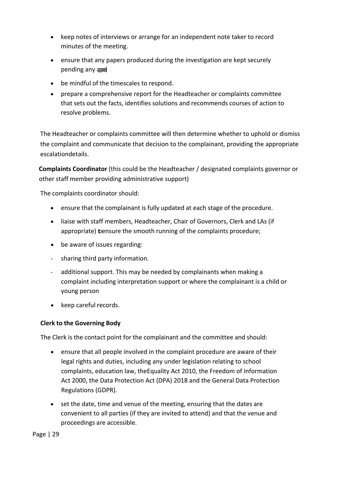- keep notes of interviews or arrange for an independent note taker to record minutes of the meeting.
- ensure that any papers produced during the investigation are kept securely pending any appending
- be mindful of the timescales to respond.
- prepare a comprehensive report for the Headteacher or complaints committee that sets out the facts, identifies solutions and recommends courses of action to resolve problems.

The Headteacher or complaints committee will then determine whether to uphold or dismiss the complaint and communicate that decision to the complainant, providing the appropriate escalationdetails.

**Complaints Coordinator** (this could be the Headteacher / designated complaints governor or other staff member providing administrative support)

The complaints coordinator should:

- ensure that the complainant is fully updated at each stage of the procedure.
- liaise with staff members, Headteacher, Chair of Governors, Clerk and LAs (if appropriate) bensure the smooth running of the complaints procedure;
- be aware of issues regarding:
- sharing third party information.
- additional support. This may be needed by complainants when making a complaint including interpretation support or where the complainant is a child or young person
- keep careful records.

#### **Clerk to the Governing Body**

The Clerk is the contact point for the complainant and the committee and should:

- ensure that all people involved in the complaint procedure are aware of their legal rights and duties, including any under legislation relating to school complaints, education law, theEquality Act 2010, the Freedom of Information Act 2000, the Data Protection Act (DPA) 2018 and the General Data Protection Regulations (GDPR).
- set the date, time and venue of the meeting, ensuring that the dates are convenient to all parties (if they are invited to attend) and that the venue and proceedings are accessible.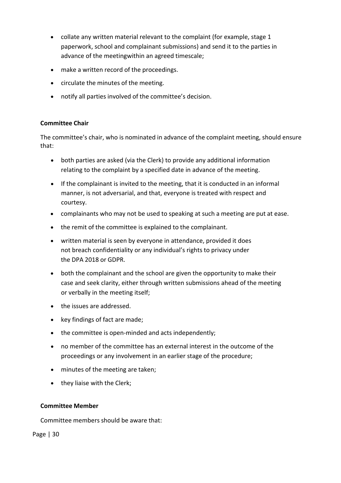- collate any written material relevant to the complaint (for example, stage 1 paperwork, school and complainant submissions) and send it to the parties in advance of the meetingwithin an agreed timescale;
- make a written record of the proceedings.
- circulate the minutes of the meeting.
- notify all parties involved of the committee's decision.

#### **Committee Chair**

The committee's chair, who is nominated in advance of the complaint meeting, should ensure that:

- both parties are asked (via the Clerk) to provide any additional information relating to the complaint by a specified date in advance of the meeting.
- If the complainant is invited to the meeting, that it is conducted in an informal manner, is not adversarial, and that, everyone is treated with respect and courtesy.
- complainants who may not be used to speaking at such a meeting are put at ease.
- the remit of the committee is explained to the complainant.
- written material is seen by everyone in attendance, provided it does not breach confidentiality or any individual's rights to privacy under the DPA 2018 or GDPR.
- both the complainant and the school are given the opportunity to make their case and seek clarity, either through written submissions ahead of the meeting or verbally in the meeting itself;
- the issues are addressed.
- key findings of fact are made;
- the committee is open-minded and acts independently;
- no member of the committee has an external interest in the outcome of the proceedings or any involvement in an earlier stage of the procedure;
- minutes of the meeting are taken;
- they liaise with the Clerk;

#### **Committee Member**

Committee members should be aware that: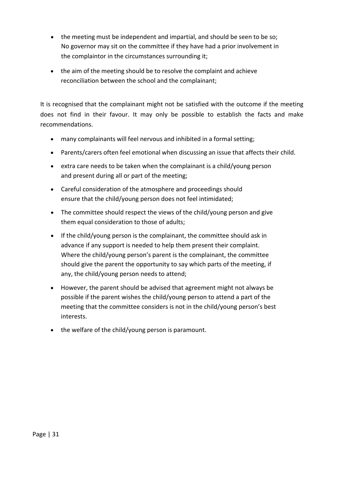- the meeting must be independent and impartial, and should be seen to be so; No governor may sit on the committee if they have had a prior involvement in the complaintor in the circumstances surrounding it;
- the aim of the meeting should be to resolve the complaint and achieve reconciliation between the school and the complainant;

It is recognised that the complainant might not be satisfied with the outcome if the meeting does not find in their favour. It may only be possible to establish the facts and make recommendations.

- many complainants will feel nervous and inhibited in a formal setting;
- Parents/carers often feel emotional when discussing an issue that affects their child.
- extra care needs to be taken when the complainant is a child/young person and present during all or part of the meeting;
- Careful consideration of the atmosphere and proceedings should ensure that the child/young person does not feel intimidated;
- The committee should respect the views of the child/young person and give them equal consideration to those of adults;
- If the child/young person is the complainant, the committee should ask in advance if any support is needed to help them present their complaint. Where the child/young person's parent is the complainant, the committee should give the parent the opportunity to say which parts of the meeting, if any, the child/young person needs to attend;
- However, the parent should be advised that agreement might not always be possible if the parent wishes the child/young person to attend a part of the meeting that the committee considers is not in the child/young person's best interests.
- the welfare of the child/young person is paramount.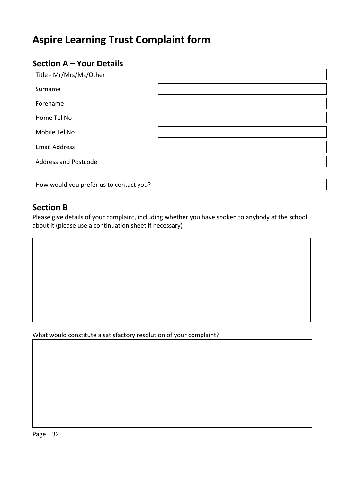# **Aspire Learning Trust Complaint form**

# **Section A – Your Details**

| Title - Mr/Mrs/Ms/Other                 |  |
|-----------------------------------------|--|
| Surname                                 |  |
| Forename                                |  |
| Home Tel No                             |  |
| Mobile Tel No                           |  |
| <b>Email Address</b>                    |  |
| <b>Address and Postcode</b>             |  |
|                                         |  |
| How would you prefer us to contact you? |  |

#### **Section B**

Please give details of your complaint, including whether you have spoken to anybody at the school about it (please use a continuation sheet if necessary)

What would constitute a satisfactory resolution of your complaint?